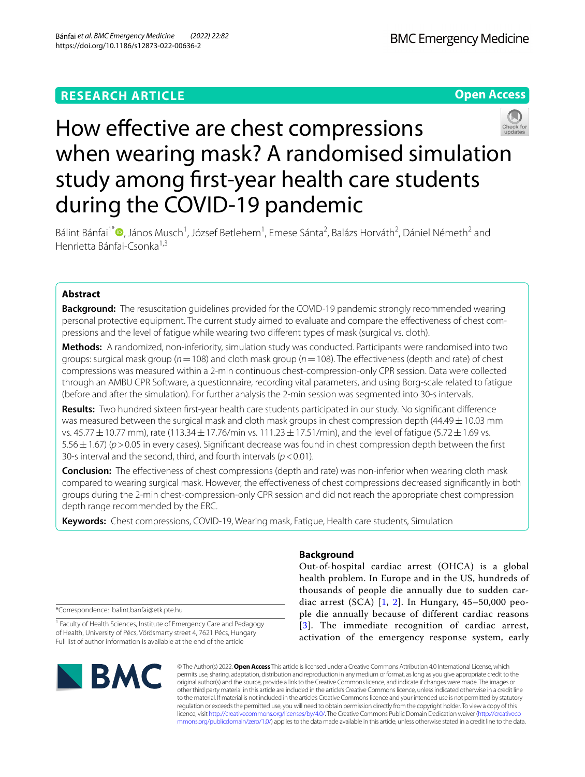# **RESEARCH ARTICLE**

**Open Access**



Bálint Bánfai<sup>1[\\*](http://orcid.org/0000-0003-1482-5524)</sup> D, János Musch<sup>1</sup>, József Betlehem<sup>1</sup>, Emese Sánta<sup>2</sup>, Balázs Horváth<sup>2</sup>, Dániel Németh<sup>2</sup> and Henrietta Bánfai-Csonka<sup>1,3</sup>

# **Abstract**

**Background:** The resuscitation guidelines provided for the COVID-19 pandemic strongly recommended wearing personal protective equipment. The current study aimed to evaluate and compare the effectiveness of chest compressions and the level of fatigue while wearing two diferent types of mask (surgical vs. cloth).

**Methods:** A randomized, non-inferiority, simulation study was conducted. Participants were randomised into two groups: surgical mask group (*n*=108) and cloth mask group (*n*=108). The efectiveness (depth and rate) of chest compressions was measured within a 2-min continuous chest-compression-only CPR session. Data were collected through an AMBU CPR Software, a questionnaire, recording vital parameters, and using Borg-scale related to fatigue (before and after the simulation). For further analysis the 2-min session was segmented into 30-s intervals.

**Results:** Two hundred sixteen frst-year health care students participated in our study. No signifcant diference was measured between the surgical mask and cloth mask groups in chest compression depth (44.49  $\pm$  10.03 mm vs. 45.77  $\pm$  10.77 mm), rate (113.34  $\pm$  17.76/min vs. 111.23  $\pm$  17.51/min), and the level of fatigue (5.72  $\pm$  1.69 vs. 5.56±1.67) (*p*>0.05 in every cases). Signifcant decrease was found in chest compression depth between the frst 30-s interval and the second, third, and fourth intervals (*p*<0.01).

**Conclusion:** The effectiveness of chest compressions (depth and rate) was non-inferior when wearing cloth mask compared to wearing surgical mask. However, the efectiveness of chest compressions decreased signifcantly in both groups during the 2-min chest-compression-only CPR session and did not reach the appropriate chest compression depth range recommended by the ERC.

**Keywords:** Chest compressions, COVID-19, Wearing mask, Fatigue, Health care students, Simulation

# **Background**

Out-of-hospital cardiac arrest (OHCA) is a global health problem. In Europe and in the US, hundreds of thousands of people die annually due to sudden cardiac arrest (SCA)  $[1, 2]$  $[1, 2]$  $[1, 2]$  $[1, 2]$  $[1, 2]$ . In Hungary, 45–50,000 people die annually because of different cardiac reasons [[3](#page-6-2)]. The immediate recognition of cardiac arrest, activation of the emergency response system, early

\*Correspondence: balint.banfai@etk.pte.hu

<sup>1</sup> Faculty of Health Sciences, Institute of Emergency Care and Pedagogy of Health, University of Pécs, Vörösmarty street 4, 7621 Pécs, Hungary Full list of author information is available at the end of the article



© The Author(s) 2022. **Open Access** This article is licensed under a Creative Commons Attribution 4.0 International License, which permits use, sharing, adaptation, distribution and reproduction in any medium or format, as long as you give appropriate credit to the original author(s) and the source, provide a link to the Creative Commons licence, and indicate if changes were made. The images or other third party material in this article are included in the article's Creative Commons licence, unless indicated otherwise in a credit line to the material. If material is not included in the article's Creative Commons licence and your intended use is not permitted by statutory regulation or exceeds the permitted use, you will need to obtain permission directly from the copyright holder. To view a copy of this licence, visit [http://creativecommons.org/licenses/by/4.0/.](http://creativecommons.org/licenses/by/4.0/) The Creative Commons Public Domain Dedication waiver ([http://creativeco](http://creativecommons.org/publicdomain/zero/1.0/) [mmons.org/publicdomain/zero/1.0/](http://creativecommons.org/publicdomain/zero/1.0/)) applies to the data made available in this article, unless otherwise stated in a credit line to the data.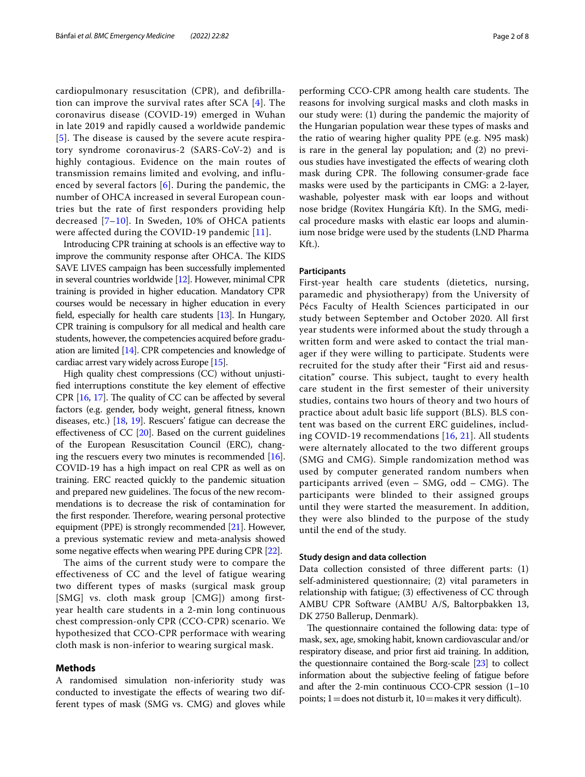cardiopulmonary resuscitation (CPR), and defibrillation can improve the survival rates after SCA [[4\]](#page-6-3). The coronavirus disease (COVID-19) emerged in Wuhan in late 2019 and rapidly caused a worldwide pandemic [[5](#page-6-4)]. The disease is caused by the severe acute respiratory syndrome coronavirus-2 (SARS-CoV-2) and is highly contagious. Evidence on the main routes of transmission remains limited and evolving, and influenced by several factors  $[6]$  $[6]$  $[6]$ . During the pandemic, the number of OHCA increased in several European countries but the rate of first responders providing help decreased  $[7-10]$  $[7-10]$ . In Sweden, 10% of OHCA patients were affected during the COVID-19 pandemic [\[11\]](#page-6-8).

Introducing CPR training at schools is an efective way to improve the community response after OHCA. The KIDS SAVE LIVES campaign has been successfully implemented in several countries worldwide [\[12\]](#page-6-9). However, minimal CPR training is provided in higher education. Mandatory CPR courses would be necessary in higher education in every feld, especially for health care students [\[13](#page-6-10)]. In Hungary, CPR training is compulsory for all medical and health care students, however, the competencies acquired before graduation are limited [\[14](#page-6-11)]. CPR competencies and knowledge of cardiac arrest vary widely across Europe [\[15\]](#page-6-12).

High quality chest compressions (CC) without unjustifed interruptions constitute the key element of efective CPR  $[16, 17]$  $[16, 17]$  $[16, 17]$  $[16, 17]$ . The quality of CC can be affected by several factors (e.g. gender, body weight, general ftness, known diseases, etc.) [\[18,](#page-6-15) [19\]](#page-6-16). Rescuers' fatigue can decrease the efectiveness of CC [[20](#page-6-17)]. Based on the current guidelines of the European Resuscitation Council (ERC), changing the rescuers every two minutes is recommended [[16](#page-6-13)]. COVID-19 has a high impact on real CPR as well as on training. ERC reacted quickly to the pandemic situation and prepared new guidelines. The focus of the new recommendations is to decrease the risk of contamination for the first responder. Therefore, wearing personal protective equipment (PPE) is strongly recommended [\[21\]](#page-6-18). However, a previous systematic review and meta-analysis showed some negative effects when wearing PPE during CPR [[22](#page-6-19)].

The aims of the current study were to compare the effectiveness of CC and the level of fatigue wearing two different types of masks (surgical mask group [SMG] vs. cloth mask group [CMG]) among firstyear health care students in a 2-min long continuous chest compression-only CPR (CCO-CPR) scenario. We hypothesized that CCO-CPR performace with wearing cloth mask is non-inferior to wearing surgical mask.

## **Methods**

A randomised simulation non-inferiority study was conducted to investigate the efects of wearing two different types of mask (SMG vs. CMG) and gloves while performing CCO-CPR among health care students. The reasons for involving surgical masks and cloth masks in our study were: (1) during the pandemic the majority of the Hungarian population wear these types of masks and the ratio of wearing higher quality PPE (e.g. N95 mask) is rare in the general lay population; and (2) no previous studies have investigated the efects of wearing cloth mask during CPR. The following consumer-grade face masks were used by the participants in CMG: a 2-layer, washable, polyester mask with ear loops and without nose bridge (Rovitex Hungária Kft). In the SMG, medical procedure masks with elastic ear loops and aluminium nose bridge were used by the students (LND Pharma Kft.).

### **Participants**

First-year health care students (dietetics, nursing, paramedic and physiotherapy) from the University of Pécs Faculty of Health Sciences participated in our study between September and October 2020. All first year students were informed about the study through a written form and were asked to contact the trial manager if they were willing to participate. Students were recruited for the study after their "First aid and resuscitation" course. This subject, taught to every health care student in the first semester of their university studies, contains two hours of theory and two hours of practice about adult basic life support (BLS). BLS content was based on the current ERC guidelines, including COVID-19 recommendations [\[16,](#page-6-13) [21\]](#page-6-18). All students were alternately allocated to the two different groups (SMG and CMG). Simple randomization method was used by computer generated random numbers when participants arrived (even – SMG, odd – CMG). The participants were blinded to their assigned groups until they were started the measurement. In addition, they were also blinded to the purpose of the study until the end of the study.

# **Study design and data collection**

Data collection consisted of three diferent parts: (1) self-administered questionnaire; (2) vital parameters in relationship with fatigue; (3) efectiveness of CC through AMBU CPR Software (AMBU A/S, Baltorpbakken 13, DK 2750 Ballerup, Denmark).

The questionnaire contained the following data: type of mask, sex, age, smoking habit, known cardiovascular and/or respiratory disease, and prior frst aid training. In addition, the questionnaire contained the Borg-scale [\[23](#page-6-20)] to collect information about the subjective feeling of fatigue before and after the 2-min continuous CCO-CPR session (1–10 points;  $1 =$  does not disturb it,  $10 =$  makes it very difficult).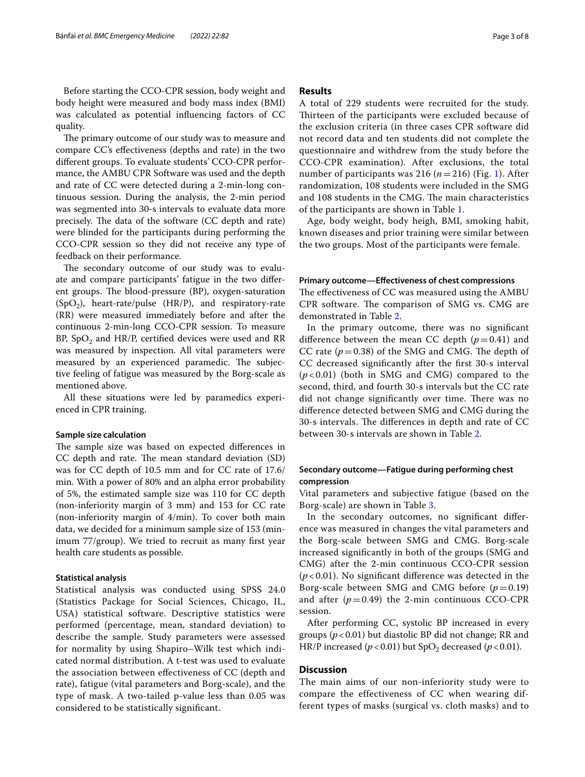The primary outcome of our study was to measure and compare CC's efectiveness (depths and rate) in the two diferent groups. To evaluate students' CCO-CPR performance, the AMBU CPR Software was used and the depth and rate of CC were detected during a 2-min-long continuous session. During the analysis, the 2-min period was segmented into 30-s intervals to evaluate data more precisely. The data of the software (CC depth and rate) were blinded for the participants during performing the CCO-CPR session so they did not receive any type of feedback on their performance.

The secondary outcome of our study was to evaluate and compare participants' fatigue in the two diferent groups. The blood-pressure  $(BP)$ , oxygen-saturation  $(SpO<sub>2</sub>)$ , heart-rate/pulse (HR/P), and respiratory-rate (RR) were measured immediately before and after the continuous 2-min-long CCO-CPR session. To measure BP,  $SpO<sub>2</sub>$  and  $HR/P$ , certified devices were used and RR was measured by inspection. All vital parameters were measured by an experienced paramedic. The subjective feeling of fatigue was measured by the Borg-scale as mentioned above.

All these situations were led by paramedics experienced in CPR training.

### **Sample size calculation**

The sample size was based on expected differences in CC depth and rate. The mean standard deviation (SD) was for CC depth of 10.5 mm and for CC rate of 17.6/ min. With a power of 80% and an alpha error probability of 5%, the estimated sample size was 110 for CC depth (non-inferiority margin of 3 mm) and 153 for CC rate (non-inferiority margin of 4/min). To cover both main data, we decided for a minimum sample size of 153 (minimum 77/group). We tried to recruit as many frst year health care students as possible.

### **Statistical analysis**

Statistical analysis was conducted using SPSS 24.0 (Statistics Package for Social Sciences, Chicago, IL, USA) statistical software. Descriptive statistics were performed (percentage, mean, standard deviation) to describe the sample. Study parameters were assessed for normality by using Shapiro–Wilk test which indicated normal distribution. A t-test was used to evaluate the association between efectiveness of CC (depth and rate), fatigue (vital parameters and Borg-scale), and the type of mask. A two-tailed p-value less than 0.05 was considered to be statistically signifcant.

# **Results**

A total of 229 students were recruited for the study. Thirteen of the participants were excluded because of the exclusion criteria (in three cases CPR software did not record data and ten students did not complete the questionnaire and withdrew from the study before the CCO-CPR examination). After exclusions, the total number of participants was 2[1](#page-3-0)6 ( $n=216$ ) (Fig. 1). After randomization, 108 students were included in the SMG and 108 students in the CMG. The main characteristics of the participants are shown in Table [1](#page-3-1).

Age, body weight, body heigh, BMI, smoking habit, known diseases and prior training were similar between the two groups. Most of the participants were female.

#### **Primary outcome—Efectiveness of chest compressions**

The effectiveness of CC was measured using the AMBU CPR software. The comparison of SMG vs. CMG are demonstrated in Table [2.](#page-4-0)

In the primary outcome, there was no signifcant difference between the mean CC depth  $(p=0.41)$  and CC rate  $(p=0.38)$  of the SMG and CMG. The depth of CC decreased signifcantly after the frst 30-s interval (*p* < 0.01) (both in SMG and CMG) compared to the second, third, and fourth 30-s intervals but the CC rate did not change significantly over time. There was no diference detected between SMG and CMG during the 30-s intervals. The differences in depth and rate of CC between 30-s intervals are shown in Table [2](#page-4-0).

# **Secondary outcome—Fatigue during performing chest compression**

Vital parameters and subjective fatigue (based on the Borg-scale) are shown in Table [3.](#page-4-1)

In the secondary outcomes, no signifcant diference was measured in changes the vital parameters and the Borg-scale between SMG and CMG. Borg-scale increased signifcantly in both of the groups (SMG and CMG) after the 2-min continuous CCO-CPR session (*p* < 0.01). No signifcant diference was detected in the Borg-scale between SMG and CMG before  $(p=0.19)$ and after  $(p=0.49)$  the 2-min continuous CCO-CPR session.

After performing CC, systolic BP increased in every groups (*p*<0.01) but diastolic BP did not change; RR and HR/P increased ( $p < 0.01$ ) but SpO<sub>2</sub> decreased ( $p < 0.01$ ).

# **Discussion**

The main aims of our non-inferiority study were to compare the effectiveness of CC when wearing different types of masks (surgical vs. cloth masks) and to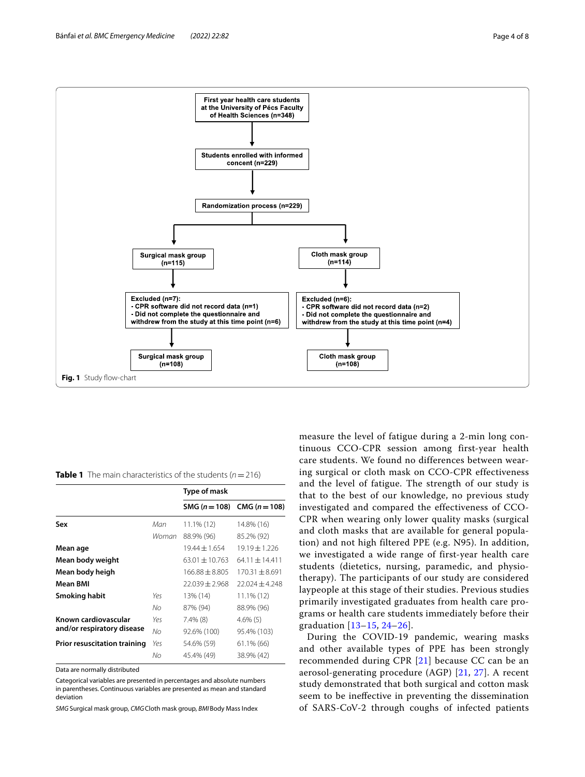

<span id="page-3-1"></span><span id="page-3-0"></span>**Table 1** The main characteristics of the students  $(n=216)$ 

|                                                    |       | Type of mask      |                                 |  |  |
|----------------------------------------------------|-------|-------------------|---------------------------------|--|--|
|                                                    |       |                   | SMG $(n = 108)$ CMG $(n = 108)$ |  |  |
| Sex                                                | Man   | $11.1\%$ (12)     | 14.8% (16)                      |  |  |
|                                                    | Woman | 88.9% (96)        | 85.2% (92)                      |  |  |
| Mean age                                           |       | $19.44 \pm 1.654$ | $19.19 \pm 1.226$               |  |  |
| Mean body weight                                   |       | $63.01 + 10.763$  | $64.11 + 14.411$                |  |  |
| Mean body heigh                                    |       | $166.88 + 8.805$  | $170.31 + 8.691$                |  |  |
| <b>Mean BMI</b>                                    |       | $22.039 + 2.968$  | $22.024 \pm 4.248$              |  |  |
| Smoking habit                                      | Yes   | 13% (14)          | 11.1% (12)                      |  |  |
|                                                    | No    | 87% (94)          | 88.9% (96)                      |  |  |
| Known cardiovascular<br>and/or respiratory disease | Yes   | $7.4\%$ (8)       | $4.6\%$ (5)                     |  |  |
|                                                    | No    | 92.6% (100)       | 95.4% (103)                     |  |  |
| <b>Prior resuscitation training</b>                | Yes   | 54.6% (59)        | 61.1% (66)                      |  |  |
|                                                    | No    | 45.4% (49)        | 38.9% (42)                      |  |  |

Data are normally distributed

Categorical variables are presented in percentages and absolute numbers in parentheses. Continuous variables are presented as mean and standard deviation

*SMG* Surgical mask group, *CMG*Cloth mask group, *BMI*Body Mass Index

measure the level of fatigue during a 2-min long continuous CCO-CPR session among first-year health care students. We found no differences between wearing surgical or cloth mask on CCO-CPR effectiveness and the level of fatigue. The strength of our study is that to the best of our knowledge, no previous study investigated and compared the effectiveness of CCO-CPR when wearing only lower quality masks (surgical and cloth masks that are available for general population) and not high filtered PPE (e.g. N95). In addition, we investigated a wide range of first-year health care students (dietetics, nursing, paramedic, and physiotherapy). The participants of our study are considered laypeople at this stage of their studies. Previous studies primarily investigated graduates from health care programs or health care students immediately before their graduation [[13](#page-6-10)[–15,](#page-6-12) [24–](#page-6-21)[26](#page-6-22)].

During the COVID-19 pandemic, wearing masks and other available types of PPE has been strongly recommended during CPR [[21](#page-6-18)] because CC can be an aerosol-generating procedure (AGP) [[21,](#page-6-18) [27\]](#page-7-0). A recent study demonstrated that both surgical and cotton mask seem to be inefective in preventing the dissemination of SARS-CoV-2 through coughs of infected patients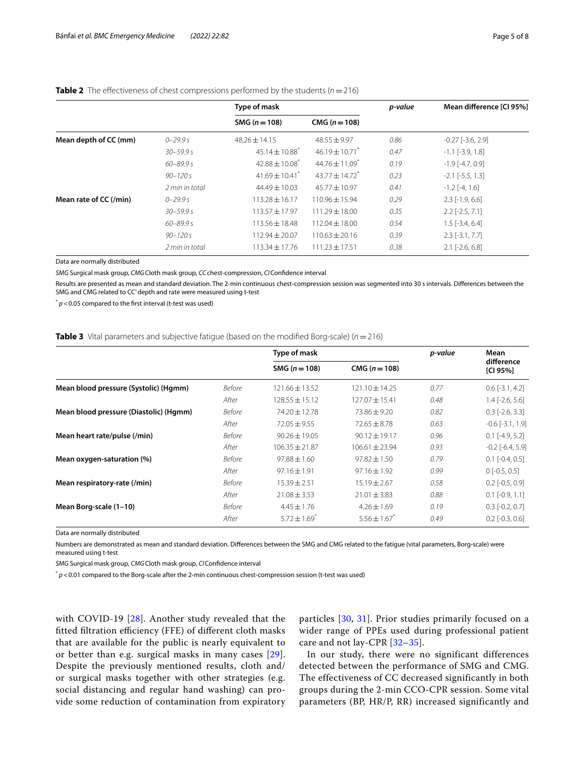|                | Type of mask                   |                                | p-value | Mean difference [Cl 95%] |  |
|----------------|--------------------------------|--------------------------------|---------|--------------------------|--|
|                | SMG $(n = 108)$                | $CMG (n = 108)$                |         |                          |  |
| $0 - 29.9 s$   | $48.26 \pm 14.15$              | $48.55 \pm 9.97$               | 0.86    | $-0.27$ $[-3.6, 2.9]$    |  |
| $30 - 59.9 s$  | $45.14 \pm 10.88$ <sup>*</sup> | $46.19 \pm 10.71$ <sup>*</sup> | 0.47    | $-1.1$ $[-3.9, 1.8]$     |  |
| $60 - 89.9 s$  | $42.88 \pm 10.08^*$            | $44.76 \pm 11.09$ <sup>*</sup> | 0.19    | $-1.9$ [ $-4.7, 0.9$ ]   |  |
| $90 - 120s$    | $41.69 \pm 10.41$ <sup>*</sup> | $43.77 \pm 14.72$ <sup>*</sup> | 0.23    | $-2.1$ $[-5.5, 1.3]$     |  |
| 2 min in total | $44.49 \pm 10.03$              | $45.77 \pm 10.97$              | 0.41    | $-1.2$ $[-4, 1.6]$       |  |
| $0 - 29.9 s$   | $113.28 \pm 16.17$             | $110.96 \pm 15.94$             | 0.29    | $2.3$ [-1.9, 6.6]        |  |
| $30 - 59.9 s$  | $113.57 \pm 17.97$             | $111.29 \pm 18.00$             | 0.35    | $2.2$ [-2.5, 7.1]        |  |
| $60 - 89.9 s$  | $113.56 \pm 18.48$             | $112.04 \pm 18.00$             | 0.54    | $1.5$ [-3.4, 6.4]        |  |
| $90 - 120s$    | $112.94 \pm 20.07$             | $110.63 \pm 20.16$             | 0.39    | $2.3$ [-3.1, 7.7]        |  |
| 2 min in total | $113.34 \pm 17.76$             | $111.23 \pm 17.51$             | 0.38    | $2.1$ [-2.6, 6.8]        |  |
|                |                                |                                |         |                          |  |

# <span id="page-4-0"></span>**Table 2** The effectiveness of chest compressions performed by the students ( $n = 216$ )

Data are normally distributed

*SMG* Surgical mask group, *CMG*Cloth mask group, *CC*chest-compression, *CI*Confdence interval

Results are presented as mean and standard deviation. The 2-min continuous chest-compression session was segmented into 30 s intervals. Diferences between the SMG and CMG related to CC' depth and rate were measured using t-test

 $p$ <sup>\*</sup>  $p$  < 0.05 compared to the first interval (t-test was used)

# <span id="page-4-1"></span>**Table 3** Vital parameters and subjective fatigue (based on the modified Borg-scale) ( $n=216$ )

|                                        |        | Type of mask                 |                    | p-value | Mean<br>difference<br>[CI 95%] |
|----------------------------------------|--------|------------------------------|--------------------|---------|--------------------------------|
|                                        |        | SMG $(n = 108)$              | CMG $(n = 108)$    |         |                                |
| Mean blood pressure (Systolic) (Hgmm)  | Before | $121.66 \pm 13.52$           | $121.10 \pm 14.25$ | 0.77    | $0.6$ [-3.1, 4.2]              |
|                                        | After  | $128.55 \pm 15.12$           | $127.07 \pm 15.41$ | 0.48    | $1.4$ [ $-2.6$ , 5.6]          |
| Mean blood pressure (Diastolic) (Hgmm) | Before | 74.20 ± 12.78                | $73.86 \pm 9.20$   | 0.82    | $0.3$ [-2.6, 3.3]              |
|                                        | After  | $72.05 \pm 9.55$             | $72.65 \pm 8.78$   | 0.63    | $-0.6$ $[-3.1, 1.9]$           |
| Mean heart rate/pulse (/min)           | Before | $90.26 \pm 19.05$            | $90.12 \pm 19.17$  | 0.96    | $0.1$ [-4.9, 5.2]              |
|                                        | After  | $106.35 \pm 21.87$           | $106.61 \pm 23.94$ | 0.93    | $-0.2$ $[-6.4, 5.9]$           |
| Mean oxygen-saturation (%)             | Before | $97.88 \pm 1.60$             | $97.82 \pm 1.50$   | 0.79    | $0.1$ [-0.4, 0.5]              |
|                                        | After  | $97.16 \pm 1.91$             | $97.16 \pm 1.92$   | 0.99    | $0$ [-0.5, 0.5]                |
| Mean respiratory-rate (/min)           | Before | $15.39 \pm 2.51$             | $15.19 \pm 2.67$   | 0.58    | $0.2$ [ $-0.5$ , $0.9$ ]       |
|                                        | After  | $21.08 \pm 3.53$             | $21.01 \pm 3.83$   | 0.88    | $0.1$ [ $-0.9$ , $1.1$ ]       |
| Mean Borg-scale (1-10)                 | Before | $4.45 \pm 1.76$              | $4.26 \pm 1.69$    | 0.19    | $0.3$ [-0.2, 0.7]              |
|                                        | After  | $5.72 \pm 1.69$ <sup>*</sup> | $5.56 \pm 1.67$    | 0.49    | $0.2$ [-0.3, 0.6]              |

Data are normally distributed

Numbers are demonstrated as mean and standard deviation. Diferences between the SMG and CMG related to the fatigue (vital parameters, Borg-scale) were measured using t-test

*SMG* Surgical mask group, *CMG*Cloth mask group, *CI*Confdence interval

 $*$  *p*<0.01 compared to the Borg-scale after the 2-min continuous chest-compression session (t-test was used)

with COVID-19 [[28\]](#page-7-1). Another study revealed that the fitted filtration efficiency (FFE) of different cloth masks that are available for the public is nearly equivalent to or better than e.g. surgical masks in many cases [[29](#page-7-2)]. Despite the previously mentioned results, cloth and/ or surgical masks together with other strategies (e.g. social distancing and regular hand washing) can provide some reduction of contamination from expiratory particles [[30,](#page-7-3) [31\]](#page-7-4). Prior studies primarily focused on a wider range of PPEs used during professional patient care and not lay-CPR [\[32](#page-7-5)[–35\]](#page-7-6).

In our study, there were no significant differences detected between the performance of SMG and CMG. The effectiveness of CC decreased significantly in both groups during the 2-min CCO-CPR session. Some vital parameters (BP, HR/P, RR) increased significantly and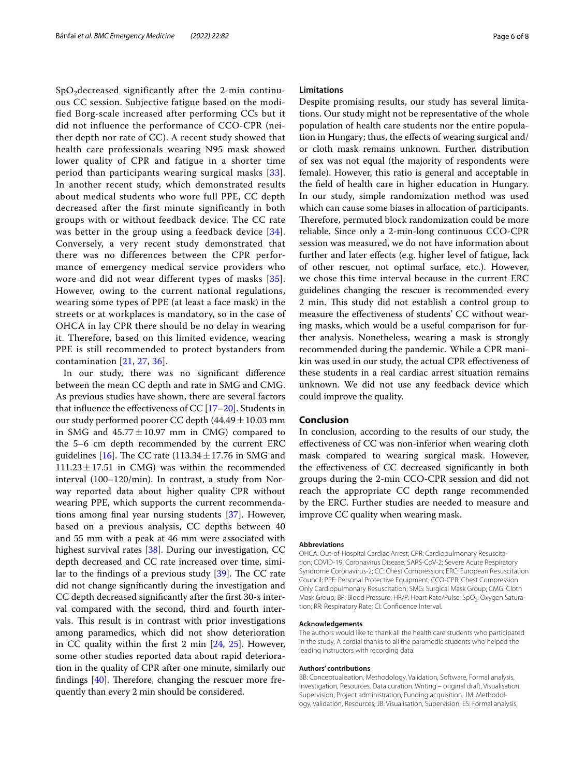$SpO<sub>2</sub>$  decreased significantly after the 2-min continuous CC session. Subjective fatigue based on the modified Borg-scale increased after performing CCs but it did not influence the performance of CCO-CPR (neither depth nor rate of CC). A recent study showed that health care professionals wearing N95 mask showed lower quality of CPR and fatigue in a shorter time period than participants wearing surgical masks [[33\]](#page-7-7). In another recent study, which demonstrated results about medical students who wore full PPE, CC depth decreased after the first minute significantly in both groups with or without feedback device. The CC rate was better in the group using a feedback device [[34\]](#page-7-8). Conversely, a very recent study demonstrated that there was no differences between the CPR performance of emergency medical service providers who wore and did not wear different types of masks [[35\]](#page-7-6). However, owing to the current national regulations, wearing some types of PPE (at least a face mask) in the streets or at workplaces is mandatory, so in the case of OHCA in lay CPR there should be no delay in wearing it. Therefore, based on this limited evidence, wearing PPE is still recommended to protect bystanders from contamination [[21](#page-6-18), [27](#page-7-0), [36](#page-7-9)].

In our study, there was no signifcant diference between the mean CC depth and rate in SMG and CMG. As previous studies have shown, there are several factors that influence the effectiveness of CC  $[17–20]$  $[17–20]$  $[17–20]$  $[17–20]$ . Students in our study performed poorer CC depth  $(44.49 \pm 10.03 \text{ mm})$ in SMG and  $45.77 \pm 10.97$  mm in CMG) compared to the 5–6 cm depth recommended by the current ERC guidelines [\[16\]](#page-6-13). The CC rate  $(113.34 \pm 17.76$  in SMG and  $111.23 \pm 17.51$  in CMG) was within the recommended interval (100–120/min). In contrast, a study from Norway reported data about higher quality CPR without wearing PPE, which supports the current recommendations among fnal year nursing students [[37\]](#page-7-10). However, based on a previous analysis, CC depths between 40 and 55 mm with a peak at 46 mm were associated with highest survival rates [[38\]](#page-7-11). During our investigation, CC depth decreased and CC rate increased over time, similar to the findings of a previous study  $[39]$  $[39]$ . The CC rate did not change signifcantly during the investigation and CC depth decreased signifcantly after the frst 30-s interval compared with the second, third and fourth intervals. This result is in contrast with prior investigations among paramedics, which did not show deterioration in CC quality within the frst 2 min [\[24,](#page-6-21) [25\]](#page-6-23). However, some other studies reported data about rapid deterioration in the quality of CPR after one minute, similarly our findings  $[40]$ . Therefore, changing the rescuer more frequently than every 2 min should be considered.

### **Limitations**

Despite promising results, our study has several limitations. Our study might not be representative of the whole population of health care students nor the entire population in Hungary; thus, the efects of wearing surgical and/ or cloth mask remains unknown. Further, distribution of sex was not equal (the majority of respondents were female). However, this ratio is general and acceptable in the feld of health care in higher education in Hungary. In our study, simple randomization method was used which can cause some biases in allocation of participants. Therefore, permuted block randomization could be more reliable. Since only a 2-min-long continuous CCO-CPR session was measured, we do not have information about further and later efects (e.g. higher level of fatigue, lack of other rescuer, not optimal surface, etc.). However, we chose this time interval because in the current ERC guidelines changing the rescuer is recommended every 2 min. This study did not establish a control group to measure the efectiveness of students' CC without wearing masks, which would be a useful comparison for further analysis. Nonetheless, wearing a mask is strongly recommended during the pandemic. While a CPR manikin was used in our study, the actual CPR efectiveness of these students in a real cardiac arrest situation remains unknown. We did not use any feedback device which could improve the quality.

# **Conclusion**

In conclusion, according to the results of our study, the efectiveness of CC was non-inferior when wearing cloth mask compared to wearing surgical mask. However, the efectiveness of CC decreased signifcantly in both groups during the 2-min CCO-CPR session and did not reach the appropriate CC depth range recommended by the ERC. Further studies are needed to measure and improve CC quality when wearing mask.

#### **Abbreviations**

OHCA: Out-of-Hospital Cardiac Arrest; CPR: Cardiopulmonary Resuscitation; COVID-19: Coronavirus Disease; SARS-CoV-2: Severe Acute Respiratory Syndrome Coronavirus-2; CC: Chest Compression; ERC: European Resuscitation Council; PPE: Personal Protective Equipment; CCO-CPR: Chest Compression Only Cardiopulmonary Resuscitation; SMG: Surgical Mask Group; CMG: Cloth Mask Group; BP: Blood Pressure; HR/P: Heart Rate/Pulse; SpO<sub>2</sub>: Oxygen Saturation; RR: Respiratory Rate; CI: Confdence Interval.

#### **Acknowledgements**

The authors would like to thank all the health care students who participated in the study. A cordial thanks to all the paramedic students who helped the leading instructors with recording data.

#### **Authors' contributions**

BB: Conceptualisation, Methodology, Validation, Software, Formal analysis, Investigation, Resources, Data curation, Writing – original draft, Visualisation, Supervision, Project administration, Funding acquisition. JM: Methodology, Validation, Resources; JB: Visualisation, Supervision; ES: Formal analysis,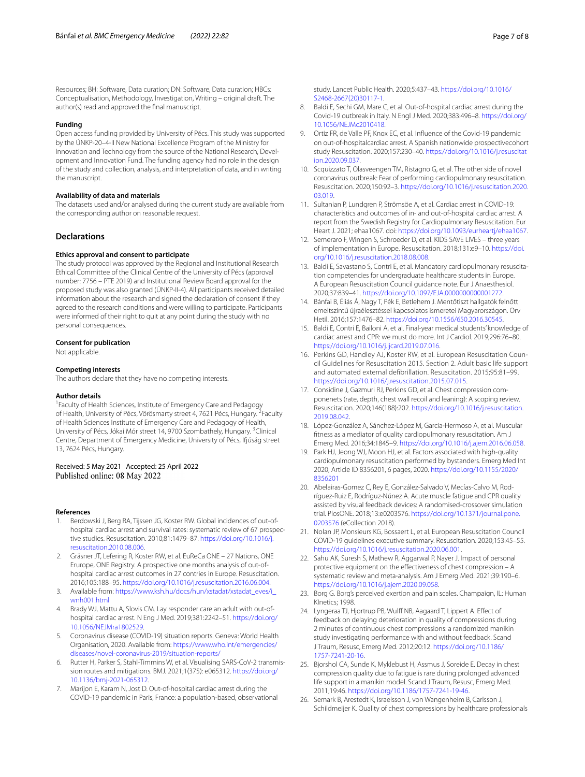Resources; BH: Software, Data curation; DN: Software, Data curation; HBCs: Conceptualisation, Methodology, Investigation, Writing – original draft. The author(s) read and approved the fnal manuscript.

#### **Funding**

Open access funding provided by University of Pécs. This study was supported by the ÚNKP-20–4-II New National Excellence Program of the Ministry for Innovation and Technology from the source of the National Research, Development and Innovation Fund. The funding agency had no role in the design of the study and collection, analysis, and interpretation of data, and in writing the manuscript.

#### **Availability of data and materials**

The datasets used and/or analysed during the current study are available from the corresponding author on reasonable request.

# **Declarations**

#### **Ethics approval and consent to participate**

The study protocol was approved by the Regional and Institutional Research Ethical Committee of the Clinical Centre of the University of Pécs (approval number: 7756 – PTE 2019) and Institutional Review Board approval for the proposed study was also granted (ÚNKP-II-4). All participants received detailed information about the research and signed the declaration of consent if they agreed to the research conditions and were willing to participate. Participants were informed of their right to quit at any point during the study with no personal consequences.

#### **Consent for publication**

Not applicable.

#### **Competing interests**

The authors declare that they have no competing interests.

#### **Author details**

<sup>1</sup> Faculty of Health Sciences, Institute of Emergency Care and Pedagogy of Health, University of Pécs, Vörösmarty street 4, 7621 Pécs, Hungary. <sup>2</sup>Faculty of Health Sciences Institute of Emergency Care and Pedagogy of Health, University of Pécs, Jókai Mór street 14, 9700 Szombathely, Hungary. <sup>3</sup>Clinical Centre, Department of Emergency Medicine, University of Pécs, Ifúság street 13, 7624 Pécs, Hungary.

### Received: 5 May 2021 Accepted: 25 April 2022 Published online: 08 May 2022

#### **References**

- <span id="page-6-0"></span>1. Berdowski J, Berg RA, Tijssen JG, Koster RW. Global incidences of out-ofhospital cardiac arrest and survival rates: systematic review of 67 prospective studies. Resuscitation. 2010;81:1479–87. [https://doi.org/10.1016/j.](https://doi.org/10.1016/j.resuscitation.2010.08.006) [resuscitation.2010.08.006](https://doi.org/10.1016/j.resuscitation.2010.08.006).
- <span id="page-6-1"></span>2. Gräsner JT, Lefering R, Koster RW, et al. EuReCa ONE – 27 Nations, ONE Erurope, ONE Registry. A prospective one months analysis of out-ofhospital cardiac arrest outcomes in 27 contries in Europe. Resuscitation. 2016;105:188–95. <https://doi.org/10.1016/j.resuscitation.2016.06.004>.
- <span id="page-6-2"></span>3. Available from: [https://www.ksh.hu/docs/hun/xstadat/xstadat\\_eves/i\\_](https://www.ksh.hu/docs/hun/xstadat/xstadat_eves/i_wnh001.html) [wnh001.html](https://www.ksh.hu/docs/hun/xstadat/xstadat_eves/i_wnh001.html)
- <span id="page-6-3"></span>4. Brady WJ, Mattu A, Slovis CM. Lay responder care an adult with out-ofhospital cardiac arrest. N Eng J Med. 2019;381:2242–51. [https://doi.org/](https://doi.org/10.1056/NEJMra1802529) [10.1056/NEJMra1802529.](https://doi.org/10.1056/NEJMra1802529)
- <span id="page-6-4"></span>5. Coronavirus disease (COVID-19) situation reports. Geneva: World Health Organisation, 2020. Available from: [https://www.who.int/emergencies/](https://www.who.int/emergencies/diseases/novel-coronavirus-2019/situation-reports/) [diseases/novel-coronavirus-2019/situation-reports/](https://www.who.int/emergencies/diseases/novel-coronavirus-2019/situation-reports/)
- <span id="page-6-5"></span>6. Rutter H, Parker S, Stahl-Timmins W, et al. Visualising SARS-CoV-2 transmission routes and mitigations. BMJ. 2021;1(375): e065312. [https://doi.org/](https://doi.org/10.1136/bmj-2021-065312) [10.1136/bmj-2021-065312.](https://doi.org/10.1136/bmj-2021-065312)
- <span id="page-6-6"></span>7. Marijon E, Karam N, Jost D. Out-of-hospital cardiac arrest during the COVID-19 pandemic in Paris, France: a population-based, observational

study. Lancet Public Health. 2020;5:437–43. [https://doi.org/10.1016/](https://doi.org/10.1016/S2468-2667(20)30117-1) [S2468-2667\(20\)30117-1](https://doi.org/10.1016/S2468-2667(20)30117-1).

- 8. Baldi E, Sechi GM, Mare C, et al. Out-of-hospital cardiac arrest during the Covid-19 outbreak in Italy. N Engl J Med. 2020;383:496–8. [https://doi.org/](https://doi.org/10.1056/NEJMc2010418) [10.1056/NEJMc2010418](https://doi.org/10.1056/NEJMc2010418).
- 9. Ortiz FR, de Valle PF, Knox EC, et al. Infuence of the Covid-19 pandemic on out-of-hospitalcardiac arrest. A Spanish nationwide prospectivecohort study Resuscitation. 2020;157:230–40. [https://doi.org/10.1016/j.resuscitat](https://doi.org/10.1016/j.resuscitation.2020.09.037) [ion.2020.09.037](https://doi.org/10.1016/j.resuscitation.2020.09.037).
- <span id="page-6-7"></span>10. Scquizzato T, Olasveengen TM, Ristagno G, et al. The other side of novel coronavirus outbreak: Fear of performing cardiopulmonary resuscitation. Resuscitation. 2020;150:92–3. [https://doi.org/10.1016/j.resuscitation.2020.](https://doi.org/10.1016/j.resuscitation.2020.03.019) [03.019](https://doi.org/10.1016/j.resuscitation.2020.03.019).
- <span id="page-6-8"></span>11. Sultanian P, Lundgren P, Strömsöe A, et al. Cardiac arrest in COVID-19: characteristics and outcomes of in- and out-of-hospital cardiac arrest. A report from the Swedish Registry for Cardiopulmonary Resuscitation. Eur Heart J. 2021; ehaa1067. doi: <https://doi.org/10.1093/eurheartj/ehaa1067>.
- <span id="page-6-9"></span>12. Semeraro F, Wingen S, Schroeder D, et al. KIDS SAVE LIVES – three years of implementation in Europe. Resuscitation. 2018;131:e9–10. [https://doi.](https://doi.org/10.1016/j.resuscitation.2018.08.008) [org/10.1016/j.resuscitation.2018.08.008](https://doi.org/10.1016/j.resuscitation.2018.08.008).
- <span id="page-6-10"></span>13. Baldi E, Savastano S, Contri E, et al. Mandatory cardiopulmonary resuscitation competencies for undergraduate healthcare students in Europe. A European Resuscitation Council guidance note. Eur J Anaesthesiol. 2020;37:839–41. [https://doi.org/10.1097/EJA.0000000000001272.](https://doi.org/10.1097/EJA.0000000000001272)
- <span id="page-6-11"></span>14. Bánfai B, Éliás Á, Nagy T, Pék E, Betlehem J. Mentőtiszt hallgatók felnőtt emeltszintű újraélesztéssel kapcsolatos ismeretei Magyarországon. Orv Hetil. 2016;157:1476–82. [https://doi.org/10.1556/650.2016.30545.](https://doi.org/10.1556/650.2016.30545)
- <span id="page-6-12"></span>15. Baldi E, Contri E, Bailoni A, et al. Final-year medical students' knowledge of cardiac arrest and CPR: we must do more. Int J Cardiol. 2019;296:76–80. <https://doi.org/10.1016/j.ijcard.2019.07.016>.
- <span id="page-6-13"></span>16. Perkins GD, Handley AJ, Koster RW, et al. European Resuscitation Council Guidelines for Resuscitation 2015. Section 2. Adult basic life support and automated external defbrillation. Resuscitation. 2015;95:81–99. [https://doi.org/10.1016/j.resuscitation.2015.07.015.](https://doi.org/10.1016/j.resuscitation.2015.07.015)
- <span id="page-6-14"></span>17. Considine J, Gazmuri RJ, Perkins GD, et al. Chest compression componenets (rate, depth, chest wall recoil and leaning): A scoping review. Resuscitation. 2020;146(188):202. [https://doi.org/10.1016/j.resuscitation.](https://doi.org/10.1016/j.resuscitation.2019.08.042) [2019.08.042](https://doi.org/10.1016/j.resuscitation.2019.08.042).
- <span id="page-6-15"></span>18. López-González A, Sánchez-López M, Garcia-Hermoso A, et al. Muscular ftness as a mediator of quality cardiopulmonary resuscitation. Am J Emerg Med. 2016;34:1845–9. <https://doi.org/10.1016/j.ajem.2016.06.058>.
- <span id="page-6-16"></span>19. Park HJ, Jeong WJ, Moon HJ, et al. Factors associated with high-quality cardiopulmonary resuscitation performed by bystanders. Emerg Med Int 2020; Article ID 8356201, 6 pages, 2020. [https://doi.org/10.1155/2020/](https://doi.org/10.1155/2020/8356201) [8356201](https://doi.org/10.1155/2020/8356201)
- <span id="page-6-17"></span>20. Abelairas-Gomez C, Rey E, González-Salvado V, Mecías-Calvo M, Rodríguez-Ruiz E, Rodríguz-Núnez A. Acute muscle fatigue and CPR quality assisted by visual feedback devices: A randomised-crossover simulation trial. PlosONE. 2018;13:e0203576. [https://doi.org/10.1371/journal.pone.](https://doi.org/10.1371/journal.pone.0203576) [0203576](https://doi.org/10.1371/journal.pone.0203576) (eCollection 2018).
- <span id="page-6-18"></span>21. Nolan JP, Monsieurs KG, Bossaert L, et al. European Resuscitation Council COVID-19 guidelines executive summary. Resuscitation. 2020;153:45–55. <https://doi.org/10.1016/j.resuscitation.2020.06.001>.
- <span id="page-6-19"></span>22. Sahu AK, Suresh S, Mathew R, Aggarwal P, Nayer J. Impact of personal protective equipment on the efectiveness of chest compression – A systematic review and meta-analysis. Am J Emerg Med. 2021;39:190–6. <https://doi.org/10.1016/j.ajem.2020.09.058>.
- <span id="page-6-20"></span>23. Borg G. Borg's perceived exertion and pain scales. Champaign, IL: Human KInetics; 1998.
- <span id="page-6-21"></span>24. Lyngeraa TJ, Hjortrup PB, Wulff NB, Aagaard T, Lippert A. Effect of feedback on delaying deterioration in quality of compressions during 2 minutes of continuous chest compressions: a randomized manikin study investigating performance with and without feedback. Scand J Traum, Resusc, Emerg Med. 2012;20:12. [https://doi.org/10.1186/](https://doi.org/10.1186/1757-7241-20-16) [1757-7241-20-16](https://doi.org/10.1186/1757-7241-20-16).
- <span id="page-6-23"></span>25. Bjorshol CA, Sunde K, Myklebust H, Assmus J, Soreide E. Decay in chest compression quality due to fatigue is rare during prolonged advanced life support in a manikin model. Scand J Traum, Resusc, Emerg Med. 2011;19:46. <https://doi.org/10.1186/1757-7241-19-46>.
- <span id="page-6-22"></span>26. Semark B, Arestedt K, Israelsson J, von Wangenheim B, Carlsson J, Schildmeijer K. Quality of chest compressions by healthcare professionals